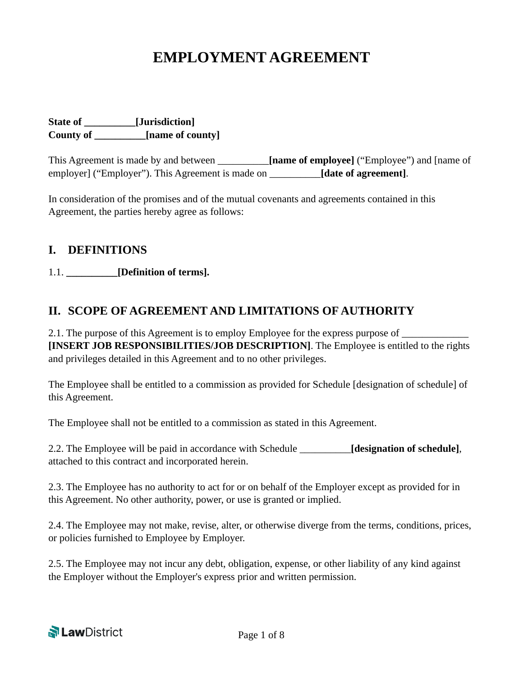# **EMPLOYMENT AGREEMENT**

**State of \_\_\_\_\_\_\_\_\_\_[Jurisdiction] County of \_\_\_\_\_\_\_\_\_\_[name of county]** 

This Agreement is made by and between **[name of employee]** ("Employee") and [name of employer] ("Employer"). This Agreement is made on \_\_\_\_\_\_\_\_\_\_**[date of agreement]**.

In consideration of the promises and of the mutual covenants and agreements contained in this Agreement, the parties hereby agree as follows:

### **I. DEFINITIONS**

1.1. **\_\_\_\_\_\_\_\_\_\_[Definition of terms].**

## **II. SCOPE OF AGREEMENT AND LIMITATIONS OF AUTHORITY**

2.1. The purpose of this Agreement is to employ Employee for the express purpose of  $\Box$ **[INSERT JOB RESPONSIBILITIES/JOB DESCRIPTION]**. The Employee is entitled to the rights and privileges detailed in this Agreement and to no other privileges.

The Employee shall be entitled to a commission as provided for Schedule [designation of schedule] of this Agreement.

The Employee shall not be entitled to a commission as stated in this Agreement.

2.2. The Employee will be paid in accordance with Schedule \_\_\_\_\_\_\_\_\_\_**[designation of schedule]**, attached to this contract and incorporated herein.

2.3. The Employee has no authority to act for or on behalf of the Employer except as provided for in this Agreement. No other authority, power, or use is granted or implied.

2.4. The Employee may not make, revise, alter, or otherwise diverge from the terms, conditions, prices, or policies furnished to Employee by Employer.

2.5. The Employee may not incur any debt, obligation, expense, or other liability of any kind against the Employer without the Employer's express prior and written permission.

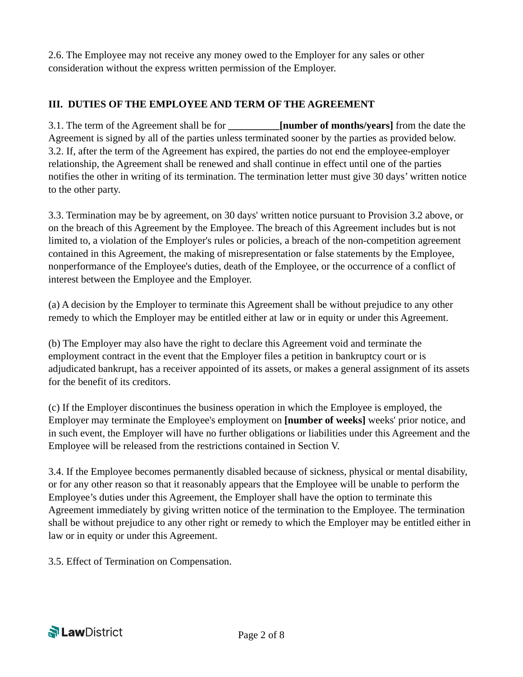2.6. The Employee may not receive any money owed to the Employer for any sales or other consideration without the express written permission of the Employer.

### **III. DUTIES OF THE EMPLOYEE AND TERM OF THE AGREEMENT**

3.1. The term of the Agreement shall be for **\_\_\_\_\_\_\_\_\_\_[number of months/years]** from the date the Agreement is signed by all of the parties unless terminated sooner by the parties as provided below. 3.2. If, after the term of the Agreement has expired, the parties do not end the employee-employer relationship, the Agreement shall be renewed and shall continue in effect until one of the parties notifies the other in writing of its termination. The termination letter must give 30 days' written notice to the other party.

3.3. Termination may be by agreement, on 30 days' written notice pursuant to Provision 3.2 above, or on the breach of this Agreement by the Employee. The breach of this Agreement includes but is not limited to, a violation of the Employer's rules or policies, a breach of the non-competition agreement contained in this Agreement, the making of misrepresentation or false statements by the Employee, nonperformance of the Employee's duties, death of the Employee, or the occurrence of a conflict of interest between the Employee and the Employer.

(a) A decision by the Employer to terminate this Agreement shall be without prejudice to any other remedy to which the Employer may be entitled either at law or in equity or under this Agreement.

(b) The Employer may also have the right to declare this Agreement void and terminate the employment contract in the event that the Employer files a petition in bankruptcy court or is adjudicated bankrupt, has a receiver appointed of its assets, or makes a general assignment of its assets for the benefit of its creditors.

(c) If the Employer discontinues the business operation in which the Employee is employed, the Employer may terminate the Employee's employment on **[number of weeks]** weeks' prior notice, and in such event, the Employer will have no further obligations or liabilities under this Agreement and the Employee will be released from the restrictions contained in Section V.

3.4. If the Employee becomes permanently disabled because of sickness, physical or mental disability, or for any other reason so that it reasonably appears that the Employee will be unable to perform the Employee's duties under this Agreement, the Employer shall have the option to terminate this Agreement immediately by giving written notice of the termination to the Employee. The termination shall be without prejudice to any other right or remedy to which the Employer may be entitled either in law or in equity or under this Agreement.

3.5. Effect of Termination on Compensation.

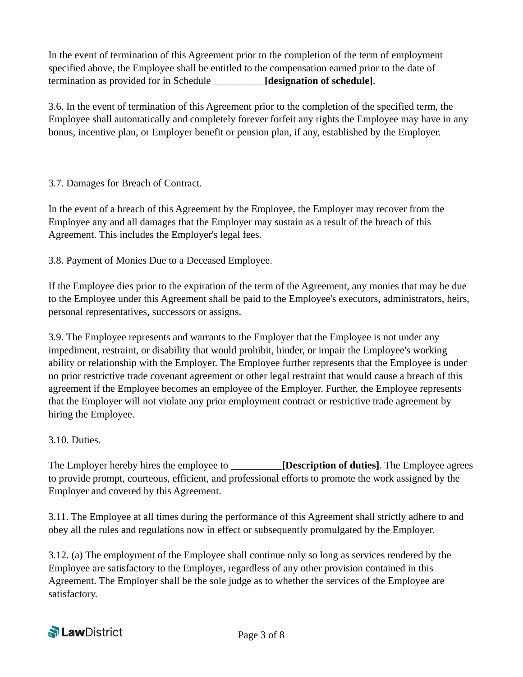In the event of termination of this Agreement prior to the completion of the term of employment specified above, the Employee shall be entitled to the compensation earned prior to the date of termination as provided for in Schedule \_\_\_\_\_\_\_\_\_\_**[designation of schedule]**.

3.6. In the event of termination of this Agreement prior to the completion of the specified term, the Employee shall automatically and completely forever forfeit any rights the Employee may have in any bonus, incentive plan, or Employer benefit or pension plan, if any, established by the Employer.

### 3.7. Damages for Breach of Contract.

In the event of a breach of this Agreement by the Employee, the Employer may recover from the Employee any and all damages that the Employer may sustain as a result of the breach of this Agreement. This includes the Employer's legal fees.

3.8. Payment of Monies Due to a Deceased Employee.

If the Employee dies prior to the expiration of the term of the Agreement, any monies that may be due to the Employee under this Agreement shall be paid to the Employee's executors, administrators, heirs, personal representatives, successors or assigns.

3.9. The Employee represents and warrants to the Employer that the Employee is not under any impediment, restraint, or disability that would prohibit, hinder, or impair the Employee's working ability or relationship with the Employer. The Employee further represents that the Employee is under no prior restrictive trade covenant agreement or other legal restraint that would cause a breach of this agreement if the Employee becomes an employee of the Employer. Further, the Employee represents that the Employer will not violate any prior employment contract or restrictive trade agreement by hiring the Employee.

### 3.10. Duties.

The Employer hereby hires the employee to \_\_\_\_\_\_\_\_\_\_**[Description of duties]**. The Employee agrees to provide prompt, courteous, efficient, and professional efforts to promote the work assigned by the Employer and covered by this Agreement.

3.11. The Employee at all times during the performance of this Agreement shall strictly adhere to and obey all the rules and regulations now in effect or subsequently promulgated by the Employer.

3.12. (a) The employment of the Employee shall continue only so long as services rendered by the Employee are satisfactory to the Employer, regardless of any other provision contained in this Agreement. The Employer shall be the sole judge as to whether the services of the Employee are satisfactory.

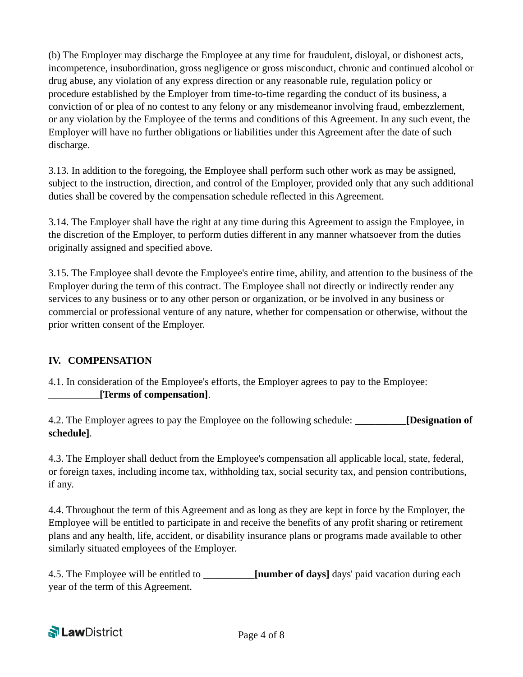(b) The Employer may discharge the Employee at any time for fraudulent, disloyal, or dishonest acts, incompetence, insubordination, gross negligence or gross misconduct, chronic and continued alcohol or drug abuse, any violation of any express direction or any reasonable rule, regulation policy or procedure established by the Employer from time-to-time regarding the conduct of its business, a conviction of or plea of no contest to any felony or any misdemeanor involving fraud, embezzlement, or any violation by the Employee of the terms and conditions of this Agreement. In any such event, the Employer will have no further obligations or liabilities under this Agreement after the date of such discharge.

3.13. In addition to the foregoing, the Employee shall perform such other work as may be assigned, subject to the instruction, direction, and control of the Employer, provided only that any such additional duties shall be covered by the compensation schedule reflected in this Agreement.

3.14. The Employer shall have the right at any time during this Agreement to assign the Employee, in the discretion of the Employer, to perform duties different in any manner whatsoever from the duties originally assigned and specified above.

3.15. The Employee shall devote the Employee's entire time, ability, and attention to the business of the Employer during the term of this contract. The Employee shall not directly or indirectly render any services to any business or to any other person or organization, or be involved in any business or commercial or professional venture of any nature, whether for compensation or otherwise, without the prior written consent of the Employer.

### **IV. COMPENSATION**

4.1. In consideration of the Employee's efforts, the Employer agrees to pay to the Employee: \_\_\_\_\_\_\_\_\_\_**[Terms of compensation]**.

4.2. The Employer agrees to pay the Employee on the following schedule: \_\_\_\_\_\_\_\_\_\_**[Designation of schedule]**.

4.3. The Employer shall deduct from the Employee's compensation all applicable local, state, federal, or foreign taxes, including income tax, withholding tax, social security tax, and pension contributions, if any.

4.4. Throughout the term of this Agreement and as long as they are kept in force by the Employer, the Employee will be entitled to participate in and receive the benefits of any profit sharing or retirement plans and any health, life, accident, or disability insurance plans or programs made available to other similarly situated employees of the Employer.

4.5. The Employee will be entitled to **Inumber of days** days' paid vacation during each year of the term of this Agreement.

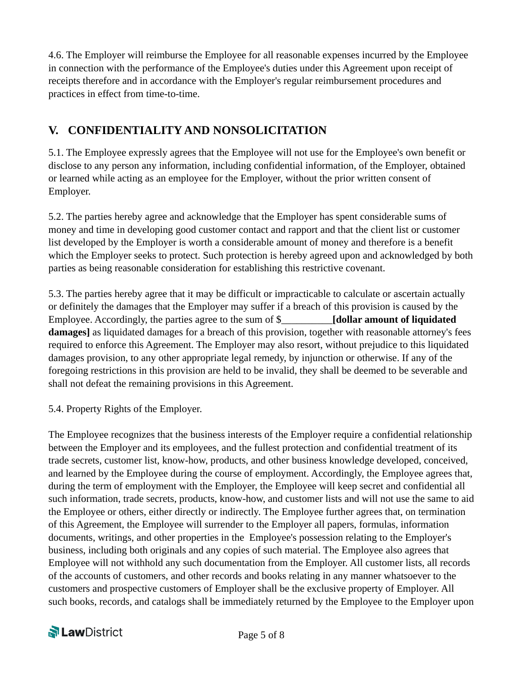4.6. The Employer will reimburse the Employee for all reasonable expenses incurred by the Employee in connection with the performance of the Employee's duties under this Agreement upon receipt of receipts therefore and in accordance with the Employer's regular reimbursement procedures and practices in effect from time-to-time.

# **V. CONFIDENTIALITY AND NONSOLICITATION**

5.1. The Employee expressly agrees that the Employee will not use for the Employee's own benefit or disclose to any person any information, including confidential information, of the Employer, obtained or learned while acting as an employee for the Employer, without the prior written consent of Employer.

5.2. The parties hereby agree and acknowledge that the Employer has spent considerable sums of money and time in developing good customer contact and rapport and that the client list or customer list developed by the Employer is worth a considerable amount of money and therefore is a benefit which the Employer seeks to protect. Such protection is hereby agreed upon and acknowledged by both parties as being reasonable consideration for establishing this restrictive covenant.

5.3. The parties hereby agree that it may be difficult or impracticable to calculate or ascertain actually or definitely the damages that the Employer may suffer if a breach of this provision is caused by the Employee. Accordingly, the parties agree to the sum of \$\_\_\_\_\_\_\_\_\_\_**[dollar amount of liquidated damages**] as liquidated damages for a breach of this provision, together with reasonable attorney's fees required to enforce this Agreement. The Employer may also resort, without prejudice to this liquidated damages provision, to any other appropriate legal remedy, by injunction or otherwise. If any of the foregoing restrictions in this provision are held to be invalid, they shall be deemed to be severable and shall not defeat the remaining provisions in this Agreement.

5.4. Property Rights of the Employer.

The Employee recognizes that the business interests of the Employer require a confidential relationship between the Employer and its employees, and the fullest protection and confidential treatment of its trade secrets, customer list, know-how, products, and other business knowledge developed, conceived, and learned by the Employee during the course of employment. Accordingly, the Employee agrees that, during the term of employment with the Employer, the Employee will keep secret and confidential all such information, trade secrets, products, know-how, and customer lists and will not use the same to aid the Employee or others, either directly or indirectly. The Employee further agrees that, on termination of this Agreement, the Employee will surrender to the Employer all papers, formulas, information documents, writings, and other properties in the Employee's possession relating to the Employer's business, including both originals and any copies of such material. The Employee also agrees that Employee will not withhold any such documentation from the Employer. All customer lists, all records of the accounts of customers, and other records and books relating in any manner whatsoever to the customers and prospective customers of Employer shall be the exclusive property of Employer. All such books, records, and catalogs shall be immediately returned by the Employee to the Employer upon

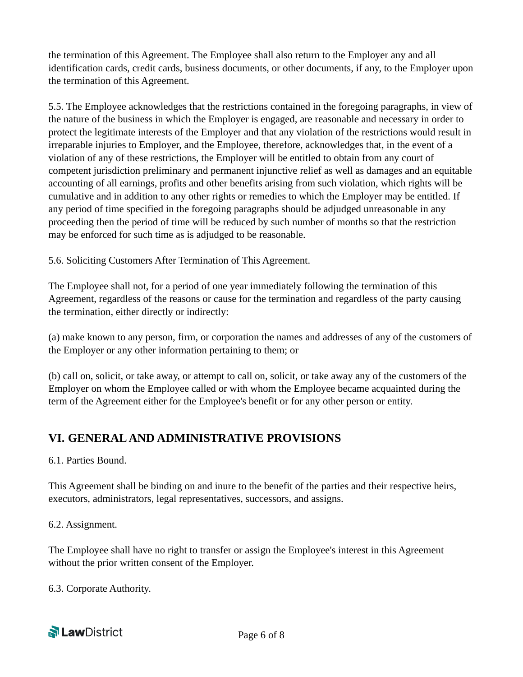the termination of this Agreement. The Employee shall also return to the Employer any and all identification cards, credit cards, business documents, or other documents, if any, to the Employer upon the termination of this Agreement.

5.5. The Employee acknowledges that the restrictions contained in the foregoing paragraphs, in view of the nature of the business in which the Employer is engaged, are reasonable and necessary in order to protect the legitimate interests of the Employer and that any violation of the restrictions would result in irreparable injuries to Employer, and the Employee, therefore, acknowledges that, in the event of a violation of any of these restrictions, the Employer will be entitled to obtain from any court of competent jurisdiction preliminary and permanent injunctive relief as well as damages and an equitable accounting of all earnings, profits and other benefits arising from such violation, which rights will be cumulative and in addition to any other rights or remedies to which the Employer may be entitled. If any period of time specified in the foregoing paragraphs should be adjudged unreasonable in any proceeding then the period of time will be reduced by such number of months so that the restriction may be enforced for such time as is adjudged to be reasonable.

5.6. Soliciting Customers After Termination of This Agreement.

The Employee shall not, for a period of one year immediately following the termination of this Agreement, regardless of the reasons or cause for the termination and regardless of the party causing the termination, either directly or indirectly:

(a) make known to any person, firm, or corporation the names and addresses of any of the customers of the Employer or any other information pertaining to them; or

(b) call on, solicit, or take away, or attempt to call on, solicit, or take away any of the customers of the Employer on whom the Employee called or with whom the Employee became acquainted during the term of the Agreement either for the Employee's benefit or for any other person or entity.

# **VI. GENERAL AND ADMINISTRATIVE PROVISIONS**

6.1. Parties Bound.

This Agreement shall be binding on and inure to the benefit of the parties and their respective heirs, executors, administrators, legal representatives, successors, and assigns.

6.2. Assignment.

The Employee shall have no right to transfer or assign the Employee's interest in this Agreement without the prior written consent of the Employer.

6.3. Corporate Authority.

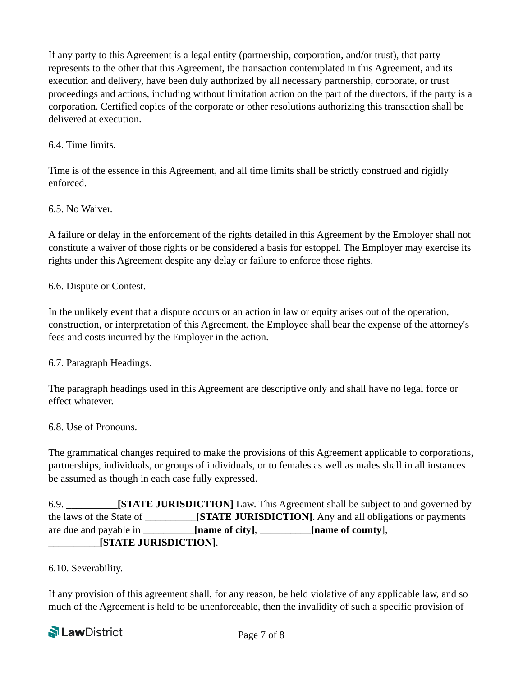If any party to this Agreement is a legal entity (partnership, corporation, and/or trust), that party represents to the other that this Agreement, the transaction contemplated in this Agreement, and its execution and delivery, have been duly authorized by all necessary partnership, corporate, or trust proceedings and actions, including without limitation action on the part of the directors, if the party is a corporation. Certified copies of the corporate or other resolutions authorizing this transaction shall be delivered at execution.

### 6.4. Time limits.

Time is of the essence in this Agreement, and all time limits shall be strictly construed and rigidly enforced.

### 6.5. No Waiver.

A failure or delay in the enforcement of the rights detailed in this Agreement by the Employer shall not constitute a waiver of those rights or be considered a basis for estoppel. The Employer may exercise its rights under this Agreement despite any delay or failure to enforce those rights.

### 6.6. Dispute or Contest.

In the unlikely event that a dispute occurs or an action in law or equity arises out of the operation, construction, or interpretation of this Agreement, the Employee shall bear the expense of the attorney's fees and costs incurred by the Employer in the action.

### 6.7. Paragraph Headings.

The paragraph headings used in this Agreement are descriptive only and shall have no legal force or effect whatever.

### 6.8. Use of Pronouns.

The grammatical changes required to make the provisions of this Agreement applicable to corporations, partnerships, individuals, or groups of individuals, or to females as well as males shall in all instances be assumed as though in each case fully expressed.

6.9. \_\_\_\_\_\_\_\_\_\_**[STATE JURISDICTION]** Law. This Agreement shall be subject to and governed by the laws of the State of \_\_\_\_\_\_\_\_\_\_**[STATE JURISDICTION]**. Any and all obligations or payments are due and payable in \_\_\_\_\_\_\_\_\_\_**[name of city]**, \_\_\_\_\_\_\_\_\_\_**[name of county**], \_\_\_\_\_\_\_\_\_\_**[STATE JURISDICTION]**.

### 6.10. Severability.

If any provision of this agreement shall, for any reason, be held violative of any applicable law, and so much of the Agreement is held to be unenforceable, then the invalidity of such a specific provision of